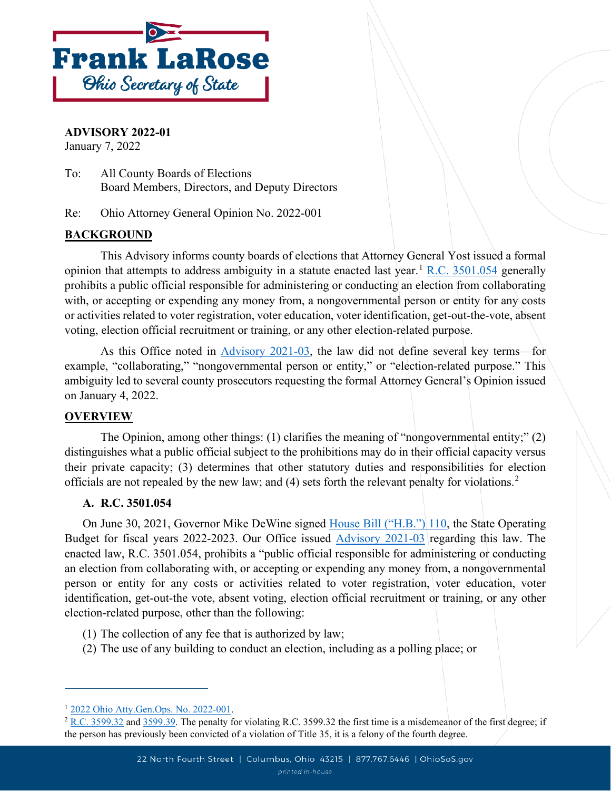

**ADVISORY 2022-01**

January 7, 2022

To: All County Boards of Elections Board Members, Directors, and Deputy Directors

Re: Ohio Attorney General Opinion No. 2022-001

# **BACKGROUND**

This Advisory informs county boards of elections that Attorney General Yost issued a formal opinion that attempts to address ambiguity in a statute enacted last year.<sup>[1](#page-0-0)</sup> R.C.  $3501.054$  generally prohibits a public official responsible for administering or conducting an election from collaborating with, or accepting or expending any money from, a nongovernmental person or entity for any costs or activities related to voter registration, voter education, voter identification, get-out-the-vote, absent voting, election official recruitment or training, or any other election-related purpose.

As this Office noted in [Advisory 2021-03,](https://www.ohiosos.gov/globalassets/elections/advisories/2021/adv2021-03.pdf) the law did not define several key terms—for example, "collaborating," "nongovernmental person or entity," or "election-related purpose." This ambiguity led to several county prosecutors requesting the formal Attorney General's Opinion issued on January 4, 2022.

## **OVERVIEW**

The Opinion, among other things: (1) clarifies the meaning of "nongovernmental entity;" (2) distinguishes what a public official subject to the prohibitions may do in their official capacity versus their private capacity; (3) determines that other statutory duties and responsibilities for election officials are not repealed by the new law; and (4) sets forth the relevant penalty for violations. [2](#page-0-1)

## **A. R.C. 3501.054**

On June 30, 2021, Governor Mike DeWine signed [House Bill \("H.B."\) 110,](https://www.legislature.ohio.gov/legislation/legislation-summary?id=GA134-HB-110) the State Operating Budget for fiscal years 2022-2023. Our Office issued [Advisory 2021-03](https://www.ohiosos.gov/globalassets/elections/advisories/2021/adv2021-03.pdf) regarding this law. The enacted law, R.C. 3501.054, prohibits a "public official responsible for administering or conducting an election from collaborating with, or accepting or expending any money from, a nongovernmental person or entity for any costs or activities related to voter registration, voter education, voter identification, get-out-the vote, absent voting, election official recruitment or training, or any other election-related purpose, other than the following:

- (1) The collection of any fee that is authorized by law;
- (2) The use of any building to conduct an election, including as a polling place; or

<span id="page-0-0"></span><sup>1</sup> [2022 Ohio Atty.Gen.Ops. No. 2022-001.](https://www.ohioattorneygeneral.gov/getattachment/01e711c5-9c90-42c3-bf5c-659e8f779f2e/2022-001.aspx)

<span id="page-0-1"></span> $2 R.C. 3599.32$  $2 R.C. 3599.32$  and [3599.39.](https://codes.ohio.gov/ohio-revised-code/section-3599.39) The penalty for violating R.C. 3599.32 the first time is a misdemeanor of the first degree; if the person has previously been convicted of a violation of Title 35, it is a felony of the fourth degree.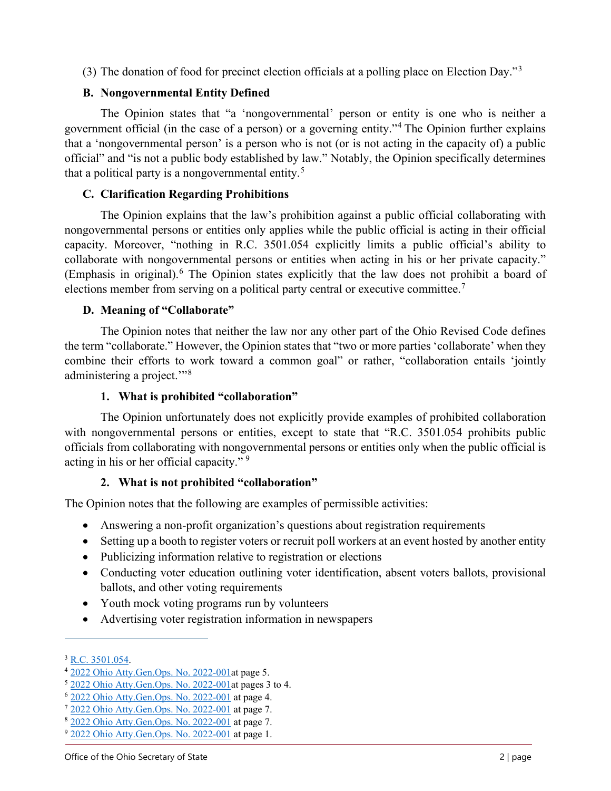(3) The donation of food for precinct election officials at a polling place on Election Day."[3](#page-1-0)

# **B. Nongovernmental Entity Defined**

The Opinion states that "a 'nongovernmental' person or entity is one who is neither a government official (in the case of a person) or a governing entity."<sup>[4](#page-1-1)</sup> The Opinion further explains that a 'nongovernmental person' is a person who is not (or is not acting in the capacity of) a public official" and "is not a public body established by law." Notably, the Opinion specifically determines that a political party is a nongovernmental entity.<sup>[5](#page-1-2)</sup>

# **C. Clarification Regarding Prohibitions**

The Opinion explains that the law's prohibition against a public official collaborating with nongovernmental persons or entities only applies while the public official is acting in their official capacity. Moreover, "nothing in R.C. 3501.054 explicitly limits a public official's ability to collaborate with nongovernmental persons or entities when acting in his or her private capacity." (Emphasis in original). [6](#page-1-3) The Opinion states explicitly that the law does not prohibit a board of elections member from serving on a political party central or executive committee.<sup>[7](#page-1-4)</sup>

# **D. Meaning of "Collaborate"**

The Opinion notes that neither the law nor any other part of the Ohio Revised Code defines the term "collaborate." However, the Opinion states that "two or more parties 'collaborate' when they combine their efforts to work toward a common goal" or rather, "collaboration entails 'jointly administering a project."<sup>[8](#page-1-5)</sup>

## **1. What is prohibited "collaboration"**

The Opinion unfortunately does not explicitly provide examples of prohibited collaboration with nongovernmental persons or entities, except to state that "R.C. 3501.054 prohibits public officials from collaborating with nongovernmental persons or entities only when the public official is acting in his or her official capacity."<sup>[9](#page-1-6)</sup>

## **2. What is not prohibited "collaboration"**

The Opinion notes that the following are examples of permissible activities:

- Answering a non-profit organization's questions about registration requirements
- Setting up a booth to register voters or recruit poll workers at an event hosted by another entity
- Publicizing information relative to registration or elections
- Conducting voter education outlining voter identification, absent voters ballots, provisional ballots, and other voting requirements
- Youth mock voting programs run by volunteers
- Advertising voter registration information in newspapers

<span id="page-1-1"></span><span id="page-1-0"></span>

<sup>&</sup>lt;sup>3</sup> [R.C. 3501.054.](https://codes.ohio.gov/ohio-revised-code/section-3501.054)<br>
<sup>4</sup> [2022 Ohio Atty.Gen.Ops. No. 2022-001a](https://www.ohioattorneygeneral.gov/getattachment/01e711c5-9c90-42c3-bf5c-659e8f779f2e/2022-001.aspx)t page 5.<br>
<sup>5</sup> 2022 Ohio Atty.Gen.Ops. No. 2022-001at pages 3 to 4.

<span id="page-1-2"></span>

<span id="page-1-3"></span><sup>6</sup> [2022 Ohio Atty.Gen.Ops. No. 2022-001](https://www.ohioattorneygeneral.gov/getattachment/01e711c5-9c90-42c3-bf5c-659e8f779f2e/2022-001.aspx) at page 4.

<span id="page-1-4"></span><sup>7</sup> [2022 Ohio Atty.Gen.Ops. No. 2022-001](https://www.ohioattorneygeneral.gov/getattachment/01e711c5-9c90-42c3-bf5c-659e8f779f2e/2022-001.aspx) at page 7.

<span id="page-1-5"></span><sup>8</sup> [2022 Ohio Atty.Gen.Ops. No. 2022-001](https://www.ohioattorneygeneral.gov/getattachment/01e711c5-9c90-42c3-bf5c-659e8f779f2e/2022-001.aspx) at page 7.

<span id="page-1-6"></span> $9$  [2022 Ohio Atty.Gen.Ops. No. 2022-001](https://www.ohioattorneygeneral.gov/getattachment/01e711c5-9c90-42c3-bf5c-659e8f779f2e/2022-001.aspx) at page 1.